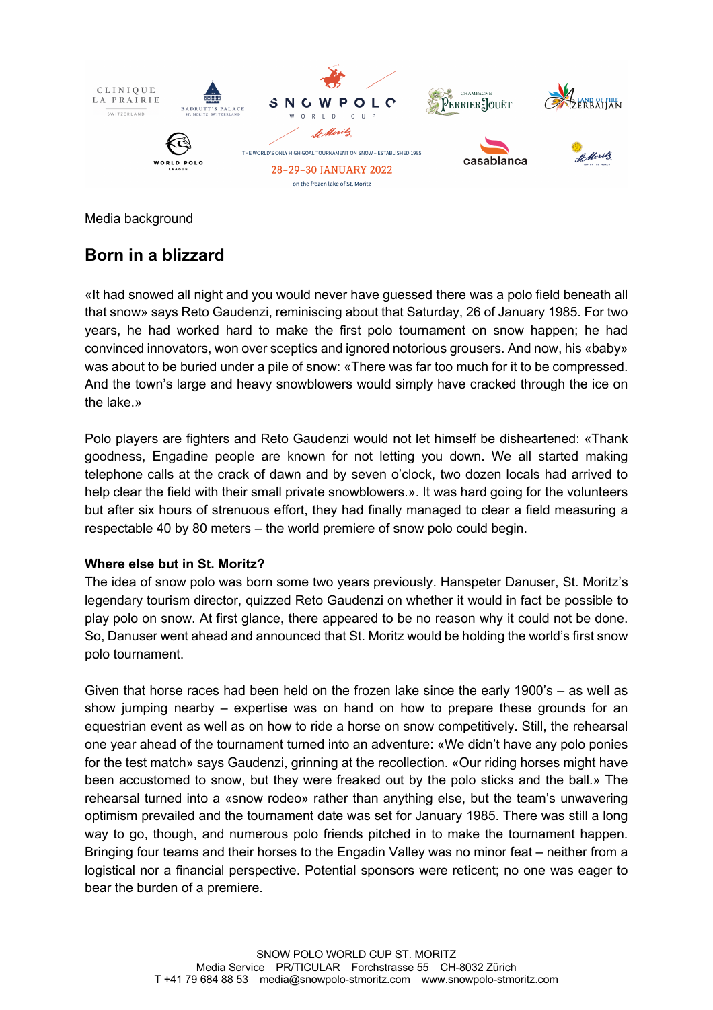

Media background

# **Born in a blizzard**

«It had snowed all night and you would never have guessed there was a polo field beneath all that snow» says Reto Gaudenzi, reminiscing about that Saturday, 26 of January 1985. For two years, he had worked hard to make the first polo tournament on snow happen; he had convinced innovators, won over sceptics and ignored notorious grousers. And now, his «baby» was about to be buried under a pile of snow: «There was far too much for it to be compressed. And the town's large and heavy snowblowers would simply have cracked through the ice on the lake.»

Polo players are fighters and Reto Gaudenzi would not let himself be disheartened: «Thank goodness, Engadine people are known for not letting you down. We all started making telephone calls at the crack of dawn and by seven o'clock, two dozen locals had arrived to help clear the field with their small private snowblowers.». It was hard going for the volunteers but after six hours of strenuous effort, they had finally managed to clear a field measuring a respectable 40 by 80 meters – the world premiere of snow polo could begin.

### **Where else but in St. Moritz?**

The idea of snow polo was born some two years previously. Hanspeter Danuser, St. Moritz's legendary tourism director, quizzed Reto Gaudenzi on whether it would in fact be possible to play polo on snow. At first glance, there appeared to be no reason why it could not be done. So, Danuser went ahead and announced that St. Moritz would be holding the world's first snow polo tournament.

Given that horse races had been held on the frozen lake since the early 1900's – as well as show jumping nearby – expertise was on hand on how to prepare these grounds for an equestrian event as well as on how to ride a horse on snow competitively. Still, the rehearsal one year ahead of the tournament turned into an adventure: «We didn't have any polo ponies for the test match» says Gaudenzi, grinning at the recollection. «Our riding horses might have been accustomed to snow, but they were freaked out by the polo sticks and the ball.» The rehearsal turned into a «snow rodeo» rather than anything else, but the team's unwavering optimism prevailed and the tournament date was set for January 1985. There was still a long way to go, though, and numerous polo friends pitched in to make the tournament happen. Bringing four teams and their horses to the Engadin Valley was no minor feat – neither from a logistical nor a financial perspective. Potential sponsors were reticent; no one was eager to bear the burden of a premiere.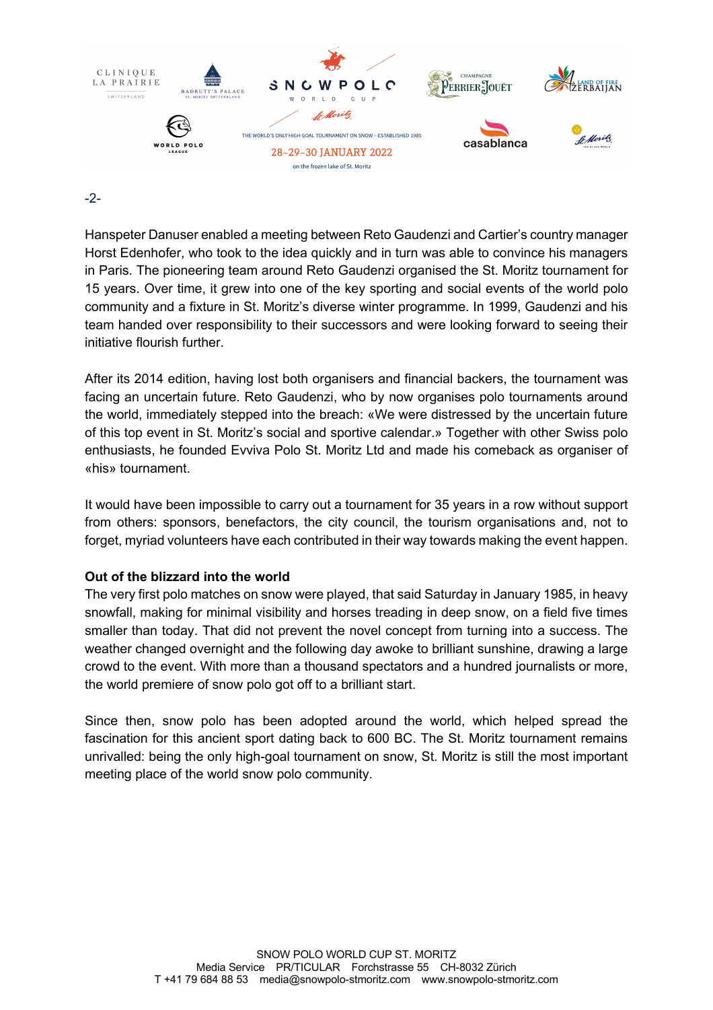

#### -2-

Hanspeter Danuser enabled a meeting between Reto Gaudenzi and Cartier's country manager Horst Edenhofer, who took to the idea quickly and in turn was able to convince his managers in Paris. The pioneering team around Reto Gaudenzi organised the St. Moritz tournament for 15 years. Over time, it grew into one of the key sporting and social events of the world polo community and a fixture in St. Moritz's diverse winter programme. In 1999, Gaudenzi and his team handed over responsibility to their successors and were looking forward to seeing their initiative flourish further.

After its 2014 edition, having lost both organisers and financial backers, the tournament was facing an uncertain future. Reto Gaudenzi, who by now organises polo tournaments around the world, immediately stepped into the breach: «We were distressed by the uncertain future of this top event in St. Moritz's social and sportive calendar.» Together with other Swiss polo enthusiasts, he founded Evviva Polo St. Moritz Ltd and made his comeback as organiser of «his» tournament.

It would have been impossible to carry out a tournament for 35 years in a row without support from others: sponsors, benefactors, the city council, the tourism organisations and, not to forget, myriad volunteers have each contributed in their way towards making the event happen.

### **Out of the blizzard into the world**

The very first polo matches on snow were played, that said Saturday in January 1985, in heavy snowfall, making for minimal visibility and horses treading in deep snow, on a field five times smaller than today. That did not prevent the novel concept from turning into a success. The weather changed overnight and the following day awoke to brilliant sunshine, drawing a large crowd to the event. With more than a thousand spectators and a hundred journalists or more, the world premiere of snow polo got off to a brilliant start.

Since then, snow polo has been adopted around the world, which helped spread the fascination for this ancient sport dating back to 600 BC. The St. Moritz tournament remains unrivalled: being the only high-goal tournament on snow, St. Moritz is still the most important meeting place of the world snow polo community.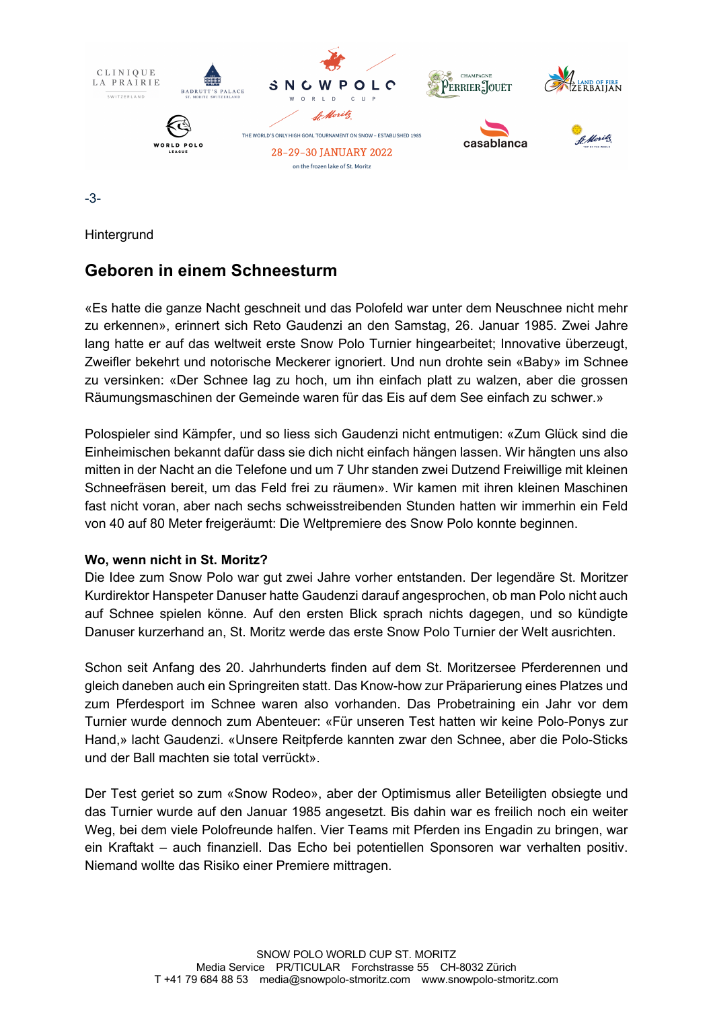

-3-

**Hintergrund** 

# **Geboren in einem Schneesturm**

«Es hatte die ganze Nacht geschneit und das Polofeld war unter dem Neuschnee nicht mehr zu erkennen», erinnert sich Reto Gaudenzi an den Samstag, 26. Januar 1985. Zwei Jahre lang hatte er auf das weltweit erste Snow Polo Turnier hingearbeitet; Innovative überzeugt, Zweifler bekehrt und notorische Meckerer ignoriert. Und nun drohte sein «Baby» im Schnee zu versinken: «Der Schnee lag zu hoch, um ihn einfach platt zu walzen, aber die grossen Räumungsmaschinen der Gemeinde waren für das Eis auf dem See einfach zu schwer.»

Polospieler sind Kämpfer, und so liess sich Gaudenzi nicht entmutigen: «Zum Glück sind die Einheimischen bekannt dafür dass sie dich nicht einfach hängen lassen. Wir hängten uns also mitten in der Nacht an die Telefone und um 7 Uhr standen zwei Dutzend Freiwillige mit kleinen Schneefräsen bereit, um das Feld frei zu räumen». Wir kamen mit ihren kleinen Maschinen fast nicht voran, aber nach sechs schweisstreibenden Stunden hatten wir immerhin ein Feld von 40 auf 80 Meter freigeräumt: Die Weltpremiere des Snow Polo konnte beginnen.

### **Wo, wenn nicht in St. Moritz?**

Die Idee zum Snow Polo war gut zwei Jahre vorher entstanden. Der legendäre St. Moritzer Kurdirektor Hanspeter Danuser hatte Gaudenzi darauf angesprochen, ob man Polo nicht auch auf Schnee spielen könne. Auf den ersten Blick sprach nichts dagegen, und so kündigte Danuser kurzerhand an, St. Moritz werde das erste Snow Polo Turnier der Welt ausrichten.

Schon seit Anfang des 20. Jahrhunderts finden auf dem St. Moritzersee Pferderennen und gleich daneben auch ein Springreiten statt. Das Know-how zur Präparierung eines Platzes und zum Pferdesport im Schnee waren also vorhanden. Das Probetraining ein Jahr vor dem Turnier wurde dennoch zum Abenteuer: «Für unseren Test hatten wir keine Polo-Ponys zur Hand,» lacht Gaudenzi. «Unsere Reitpferde kannten zwar den Schnee, aber die Polo-Sticks und der Ball machten sie total verrückt».

Der Test geriet so zum «Snow Rodeo», aber der Optimismus aller Beteiligten obsiegte und das Turnier wurde auf den Januar 1985 angesetzt. Bis dahin war es freilich noch ein weiter Weg, bei dem viele Polofreunde halfen. Vier Teams mit Pferden ins Engadin zu bringen, war ein Kraftakt – auch finanziell. Das Echo bei potentiellen Sponsoren war verhalten positiv. Niemand wollte das Risiko einer Premiere mittragen.